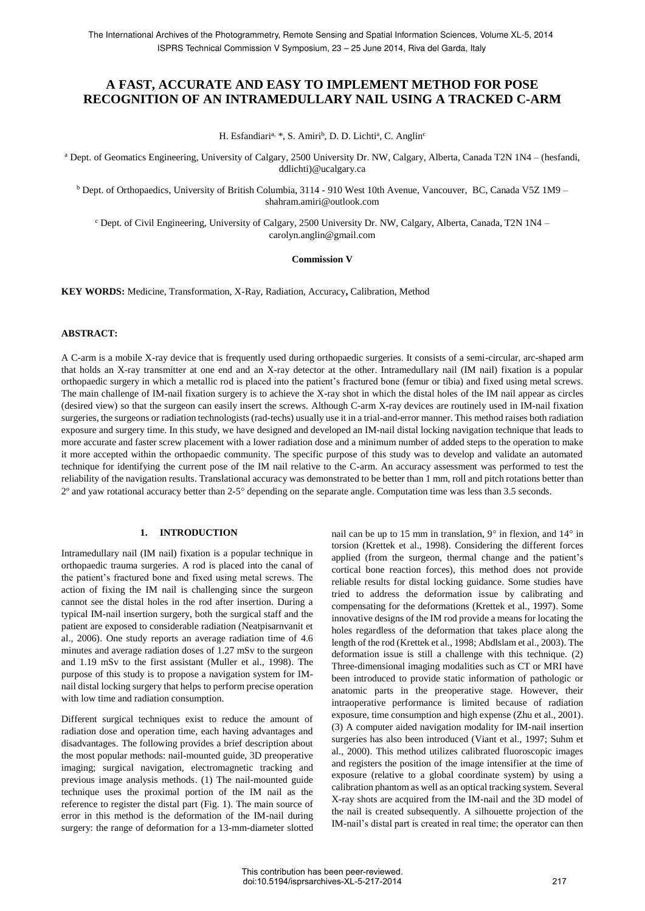# **A FAST, ACCURATE AND EASY TO IMPLEMENT METHOD FOR POSE RECOGNITION OF AN INTRAMEDULLARY NAIL USING A TRACKED C-ARM**

H. Esfandiari<sup>a, \*</sup>, S. Amiri<sup>b</sup>, D. D. Lichti<sup>a</sup>, C. Anglin<sup>c</sup>

<sup>a</sup> Dept. of Geomatics Engineering, University of Calgary, 2500 University Dr. NW, Calgary, Alberta, Canada T2N 1N4 – (hesfandi, ddlichti)@ucalgary.ca

<sup>b</sup> Dept. of Orthopaedics, University of British Columbia, 3114 - 910 West 10th Avenue, Vancouver, BC, Canada V5Z 1M9 – shahram.amiri@outlook.com

<sup>c</sup> Dept. of Civil Engineering, University of Calgary, 2500 University Dr. NW, Calgary, Alberta, Canada, T2N 1N4 – carolyn.anglin@gmail.com

#### **Commission V**

**KEY WORDS:** Medicine, Transformation, X-Ray, Radiation, Accuracy**,** Calibration, Method

### **ABSTRACT:**

A C-arm is a mobile X-ray device that is frequently used during orthopaedic surgeries. It consists of a semi-circular, arc-shaped arm that holds an X-ray transmitter at one end and an X-ray detector at the other. Intramedullary nail (IM nail) fixation is a popular orthopaedic surgery in which a metallic rod is placed into the patient's fractured bone (femur or tibia) and fixed using metal screws. The main challenge of IM-nail fixation surgery is to achieve the X-ray shot in which the distal holes of the IM nail appear as circles (desired view) so that the surgeon can easily insert the screws. Although C-arm X-ray devices are routinely used in IM-nail fixation surgeries, the surgeons or radiation technologists (rad-techs) usually use it in a trial-and-error manner. This method raises both radiation exposure and surgery time. In this study, we have designed and developed an IM-nail distal locking navigation technique that leads to more accurate and faster screw placement with a lower radiation dose and a minimum number of added steps to the operation to make it more accepted within the orthopaedic community. The specific purpose of this study was to develop and validate an automated technique for identifying the current pose of the IM nail relative to the C-arm. An accuracy assessment was performed to test the reliability of the navigation results. Translational accuracy was demonstrated to be better than 1 mm, roll and pitch rotations better than 2º and yaw rotational accuracy better than 2-5 depending on the separate angle. Computation time was less than 3.5 seconds.

#### **1. INTRODUCTION**

Intramedullary nail (IM nail) fixation is a popular technique in orthopaedic trauma surgeries. A rod is placed into the canal of the patient's fractured bone and fixed using metal screws. The action of fixing the IM nail is challenging since the surgeon cannot see the distal holes in the rod after insertion. During a typical IM-nail insertion surgery, both the surgical staff and the patient are exposed to considerable radiation (Neatpisarnvanit et al., 2006). One study reports an average radiation time of 4.6 minutes and average radiation doses of 1.27 mSv to the surgeon and 1.19 mSv to the first assistant (Muller et al., 1998). The purpose of this study is to propose a navigation system for IMnail distal locking surgery that helps to perform precise operation with low time and radiation consumption.

Different surgical techniques exist to reduce the amount of radiation dose and operation time, each having advantages and disadvantages. The following provides a brief description about the most popular methods: nail-mounted guide, 3D preoperative imaging; surgical navigation, electromagnetic tracking and previous image analysis methods. (1) The nail-mounted guide technique uses the proximal portion of the IM nail as the reference to register the distal part (Fig. 1). The main source of error in this method is the deformation of the IM-nail during surgery: the range of deformation for a 13-mm-diameter slotted nail can be up to 15 mm in translation,  $9^{\circ}$  in flexion, and  $14^{\circ}$  in torsion (Krettek et al., 1998). Considering the different forces applied (from the surgeon, thermal change and the patient's cortical bone reaction forces), this method does not provide reliable results for distal locking guidance. Some studies have tried to address the deformation issue by calibrating and compensating for the deformations (Krettek et al., 1997). Some innovative designs of the IM rod provide a means for locating the holes regardless of the deformation that takes place along the length of the rod (Krettek et al., 1998; Abdlslam et al., 2003). The deformation issue is still a challenge with this technique. (2) Three-dimensional imaging modalities such as CT or MRI have been introduced to provide static information of pathologic or anatomic parts in the preoperative stage. However, their intraoperative performance is limited because of radiation exposure, time consumption and high expense (Zhu et al., 2001). (3) A computer aided navigation modality for IM-nail insertion surgeries has also been introduced (Viant et al., 1997; Suhm et al., 2000). This method utilizes calibrated fluoroscopic images and registers the position of the image intensifier at the time of exposure (relative to a global coordinate system) by using a calibration phantom as well as an optical tracking system. Several X-ray shots are acquired from the IM-nail and the 3D model of the nail is created subsequently. A silhouette projection of the IM-nail's distal part is created in real time; the operator can then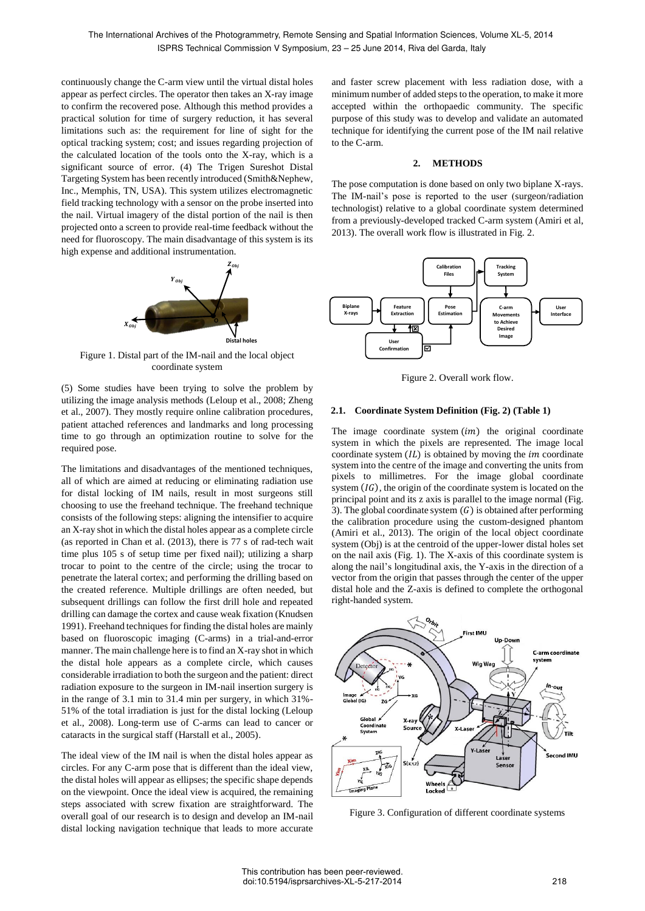continuously change the C-arm view until the virtual distal holes appear as perfect circles. The operator then takes an X-ray image to confirm the recovered pose. Although this method provides a practical solution for time of surgery reduction, it has several limitations such as: the requirement for line of sight for the optical tracking system; cost; and issues regarding projection of the calculated location of the tools onto the X-ray, which is a significant source of error. (4) The Trigen Sureshot Distal Targeting System has been recently introduced (Smith&Nephew, Inc., Memphis, TN, USA). This system utilizes electromagnetic field tracking technology with a sensor on the probe inserted into the nail. Virtual imagery of the distal portion of the nail is then projected onto a screen to provide real-time feedback without the need for fluoroscopy. The main disadvantage of this system is its high expense and additional instrumentation.



Figure 1. Distal part of the IM-nail and the local object coordinate system

(5) Some studies have been trying to solve the problem by utilizing the image analysis methods (Leloup et al., 2008; Zheng et al., 2007). They mostly require online calibration procedures, patient attached references and landmarks and long processing time to go through an optimization routine to solve for the required pose.

The limitations and disadvantages of the mentioned techniques, all of which are aimed at reducing or eliminating radiation use for distal locking of IM nails, result in most surgeons still choosing to use the freehand technique. The freehand technique consists of the following steps: aligning the intensifier to acquire an X-ray shot in which the distal holes appear as a complete circle (as reported in Chan et al. (2013), there is 77 s of rad-tech wait time plus 105 s of setup time per fixed nail); utilizing a sharp trocar to point to the centre of the circle; using the trocar to penetrate the lateral cortex; and performing the drilling based on the created reference. Multiple drillings are often needed, but subsequent drillings can follow the first drill hole and repeated drilling can damage the cortex and cause weak fixation (Knudsen 1991). Freehand techniques for finding the distal holes are mainly based on fluoroscopic imaging (C-arms) in a trial-and-error manner. The main challenge here is to find an X-ray shot in which the distal hole appears as a complete circle, which causes considerable irradiation to both the surgeon and the patient: direct radiation exposure to the surgeon in IM-nail insertion surgery is in the range of 3.1 min to 31.4 min per surgery, in which 31%- 51% of the total irradiation is just for the distal locking (Leloup et al., 2008). Long-term use of C-arms can lead to cancer or cataracts in the surgical staff (Harstall et al., 2005).

The ideal view of the IM nail is when the distal holes appear as circles. For any C-arm pose that is different than the ideal view, the distal holes will appear as ellipses; the specific shape depends on the viewpoint. Once the ideal view is acquired, the remaining steps associated with screw fixation are straightforward. The overall goal of our research is to design and develop an IM-nail distal locking navigation technique that leads to more accurate and faster screw placement with less radiation dose, with a minimum number of added steps to the operation, to make it more accepted within the orthopaedic community. The specific purpose of this study was to develop and validate an automated technique for identifying the current pose of the IM nail relative to the C-arm.

# **2. METHODS**

The pose computation is done based on only two biplane X-rays. The IM-nail's pose is reported to the user (surgeon/radiation technologist) relative to a global coordinate system determined from a previously-developed tracked C-arm system (Amiri et al, 2013). The overall work flow is illustrated in Fig. 2.



Figure 2. Overall work flow.

# **2.1. Coordinate System Definition (Fig. 2) (Table 1)**

The image coordinate system  $(im)$  the original coordinate system in which the pixels are represented. The image local coordinate system  $(IL)$  is obtained by moving the *im* coordinate system into the centre of the image and converting the units from pixels to millimetres. For the image global coordinate system  $(\text{IG})$ , the origin of the coordinate system is located on the principal point and its z axis is parallel to the image normal (Fig. 3). The global coordinate system  $(G)$  is obtained after performing the calibration procedure using the custom-designed phantom (Amiri et al., 2013). The origin of the local object coordinate system (Obj) is at the centroid of the upper-lower distal holes set on the nail axis (Fig. 1). The X-axis of this coordinate system is along the nail's longitudinal axis, the Y-axis in the direction of a vector from the origin that passes through the center of the upper distal hole and the Z-axis is defined to complete the orthogonal right-handed system.



Figure 3. Configuration of different coordinate systems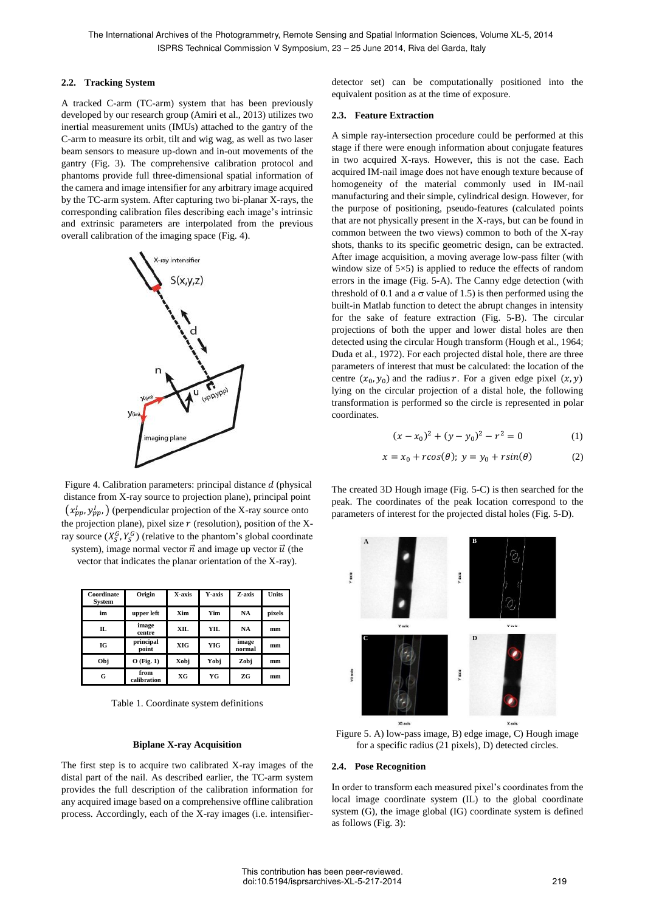### **2.2. Tracking System**

A tracked C-arm (TC-arm) system that has been previously developed by our research group (Amiri et al., 2013) utilizes two inertial measurement units (IMUs) attached to the gantry of the C-arm to measure its orbit, tilt and wig wag, as well as two laser beam sensors to measure up-down and in-out movements of the gantry (Fig. 3). The comprehensive calibration protocol and phantoms provide full three-dimensional spatial information of the camera and image intensifier for any arbitrary image acquired by the TC-arm system. After capturing two bi-planar X-rays, the corresponding calibration files describing each image's intrinsic and extrinsic parameters are interpolated from the previous overall calibration of the imaging space (Fig. 4).



Figure 4. Calibration parameters: principal distance  $d$  (physical distance from X-ray source to projection plane), principal point  $(x_{pp}^I, y_{pp}^I)$  (perpendicular projection of the X-ray source onto the projection plane), pixel size  $r$  (resolution), position of the Xray source  $(X_S^G, Y_S^G)$  (relative to the phantom's global coordinate system), image normal vector  $\vec{n}$  and image up vector  $\vec{u}$  (the

vector that indicates the planar orientation of the X-ray).

| Coordinate<br>System | Origin              | X-axis     | Y-axis | Z-axis          | Units  |
|----------------------|---------------------|------------|--------|-----------------|--------|
| im                   | upper left          | Xim        | Yim    | <b>NA</b>       | pixels |
| Π.                   | image<br>centre     | <b>XIL</b> | YIL    | <b>NA</b>       | mm     |
| IG                   | principal<br>point  | XIG        | YIG    | image<br>normal | mm     |
| Obj                  | $O$ (Fig. 1)        | Xobj       | Yobj   | Zobi            | mm     |
| G                    | from<br>calibration | XG         | YG     | ZG              | mm     |

Table 1. Coordinate system definitions

### **Biplane X-ray Acquisition**

The first step is to acquire two calibrated X-ray images of the distal part of the nail. As described earlier, the TC-arm system provides the full description of the calibration information for any acquired image based on a comprehensive offline calibration process. Accordingly, each of the X-ray images (i.e. intensifierdetector set) can be computationally positioned into the equivalent position as at the time of exposure.

#### **2.3. Feature Extraction**

A simple ray-intersection procedure could be performed at this stage if there were enough information about conjugate features in two acquired X-rays. However, this is not the case. Each acquired IM-nail image does not have enough texture because of homogeneity of the material commonly used in IM-nail manufacturing and their simple, cylindrical design. However, for the purpose of positioning, pseudo-features (calculated points that are not physically present in the X-rays, but can be found in common between the two views) common to both of the X-ray shots, thanks to its specific geometric design, can be extracted. After image acquisition, a moving average low-pass filter (with window size of  $5\times5$ ) is applied to reduce the effects of random errors in the image (Fig. 5-A). The Canny edge detection (with threshold of 0.1 and a  $\sigma$  value of 1.5) is then performed using the built-in Matlab function to detect the abrupt changes in intensity for the sake of feature extraction (Fig. 5-B). The circular projections of both the upper and lower distal holes are then detected using the circular Hough transform (Hough et al., 1964; Duda et al., 1972). For each projected distal hole, there are three parameters of interest that must be calculated: the location of the centre  $(x_0, y_0)$  and the radius r. For a given edge pixel  $(x, y)$ lying on the circular projection of a distal hole, the following transformation is performed so the circle is represented in polar coordinates.

$$
(x - x_0)^2 + (y - y_0)^2 - r^2 = 0 \tag{1}
$$

$$
x = x_0 + r\cos(\theta); \ y = y_0 + r\sin(\theta) \tag{2}
$$

The created 3D Hough image (Fig. 5-C) is then searched for the peak. The coordinates of the peak location correspond to the parameters of interest for the projected distal holes (Fig. 5-D).



Figure 5. A) low-pass image, B) edge image, C) Hough image for a specific radius (21 pixels), D) detected circles.

#### **2.4. Pose Recognition**

In order to transform each measured pixel's coordinates from the local image coordinate system (IL) to the global coordinate system (G), the image global (IG) coordinate system is defined as follows (Fig. 3):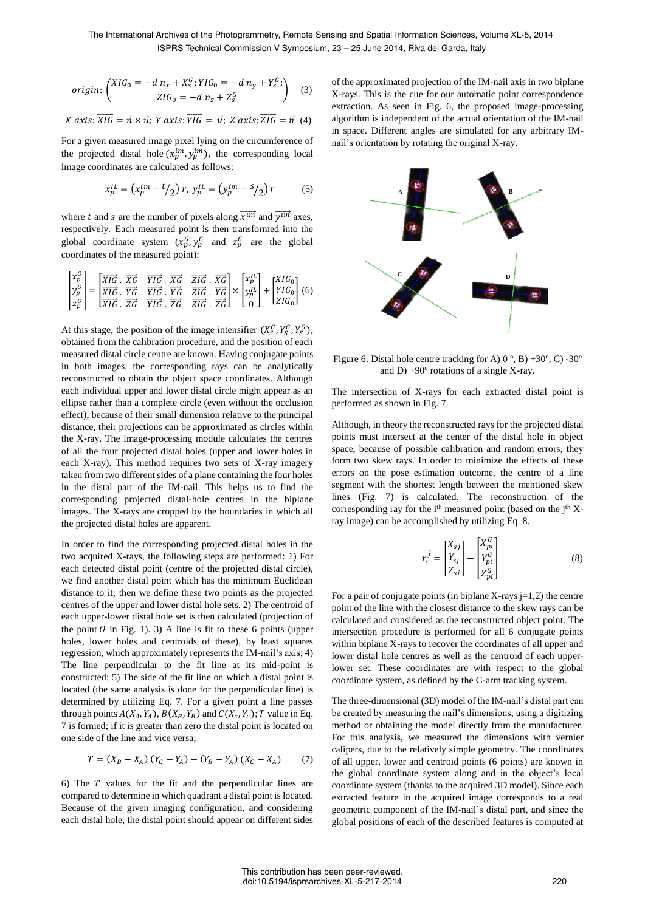The International Archives of the Photogrammetry, Remote Sensing and Spatial Information Sciences, Volume XL-5, 2014 ISPRS Technical Commission V Symposium, 23 – 25 June 2014, Riva del Garda, Italy

$$
origin: \begin{pmatrix} XIG_0 = -d \ n_x + X_s^G; YIG_0 = -d \ n_y + Y_s^G; \\ ZIG_0 = -d \ n_z + Z_s^G \end{pmatrix} \tag{3}
$$

X axis: 
$$
\overrightarrow{XIG} = \vec{n} \times \vec{u}
$$
; Y axis:  $\overrightarrow{YIG} = \vec{u}$ ; Z axis:  $\overrightarrow{ZIG} = \vec{n}$  (4)

For a given measured image pixel lying on the circumference of the projected distal hole  $(x_p^{im}, y_p^{im})$ , the corresponding local image coordinates are calculated as follows:

$$
x_p^{IL} = (x_p^{im} - {t/2}) r, \ y_p^{IL} = (y_p^{im} - {s/2}) r \tag{5}
$$

where t and s are the number of pixels along  $\overrightarrow{x^{im}}$  and  $\overrightarrow{y^{im}}$  axes, respectively. Each measured point is then transformed into the global coordinate system  $(x_p^G, y_p^G)$  and  $z_p^G$  are the global coordinates of the measured point):

.<br>Eliza

$$
\begin{bmatrix} x_p^G \\ y_p^G \\ z_p^G \end{bmatrix} = \begin{bmatrix} \overline{XIG} & \overline{XG} & \overline{YIG} & \overline{XG} & \overline{ZIG} & \overline{XG} \\ \overline{XIG} & \overline{YG} & \overline{YIG} & \overline{YG} & \overline{ZIG} & \overline{YG} \\ \overline{XIG} & \overline{ZG} & \overline{YIG} & \overline{ZG} & \overline{ZIG} & \overline{ZG} \end{bmatrix} \times \begin{bmatrix} x_p^{IL} \\ y_p^{IL} \\ 0 \end{bmatrix} + \begin{bmatrix} XIG_0 \\ YIG_0 \\ ZIG_0 \end{bmatrix} (6)
$$

At this stage, the position of the image intensifier  $(X_S^G, Y_S^G, Y_S^G)$ , obtained from the calibration procedure, and the position of each measured distal circle centre are known. Having conjugate points in both images, the corresponding rays can be analytically reconstructed to obtain the object space coordinates. Although each individual upper and lower distal circle might appear as an ellipse rather than a complete circle (even without the occlusion effect), because of their small dimension relative to the principal distance, their projections can be approximated as circles within the X-ray. The image-processing module calculates the centres of all the four projected distal holes (upper and lower holes in each X-ray). This method requires two sets of X-ray imagery taken from two different sides of a plane containing the four holes in the distal part of the IM-nail. This helps us to find the corresponding projected distal-hole centres in the biplane images. The X-rays are cropped by the boundaries in which all the projected distal holes are apparent.

In order to find the corresponding projected distal holes in the two acquired X-rays, the following steps are performed: 1) For each detected distal point (centre of the projected distal circle), we find another distal point which has the minimum Euclidean distance to it; then we define these two points as the projected centres of the upper and lower distal hole sets. 2) The centroid of each upper-lower distal hole set is then calculated (projection of the point  $\theta$  in Fig. 1). 3) A line is fit to these 6 points (upper holes, lower holes and centroids of these), by least squares regression, which approximately represents the IM-nail's axis; 4) The line perpendicular to the fit line at its mid-point is constructed; 5) The side of the fit line on which a distal point is located (the same analysis is done for the perpendicular line) is determined by utilizing Eq. 7. For a given point a line passes through points  $A(X_A, Y_A), B(X_B, Y_B)$  and  $C(X_C, Y_C)$ ; T value in Eq. 7 is formed; if it is greater than zero the distal point is located on one side of the line and vice versa;

$$
T = (X_B - X_A) (Y_C - Y_A) - (Y_B - Y_A) (X_C - X_A) \tag{7}
$$

6) The  $T$  values for the fit and the perpendicular lines are compared to determine in which quadrant a distal point is located. Because of the given imaging configuration, and considering each distal hole, the distal point should appear on different sides of the approximated projection of the IM-nail axis in two biplane X-rays. This is the cue for our automatic point correspondence extraction. As seen in Fig. 6, the proposed image-processing algorithm is independent of the actual orientation of the IM-nail in space. Different angles are simulated for any arbitrary IMnail's orientation by rotating the original X-ray.



Figure 6. Distal hole centre tracking for A)  $0^\circ$ , B) +30 $^\circ$ , C) -30 $^\circ$ and D)  $+90^\circ$  rotations of a single X-ray.

The intersection of X-rays for each extracted distal point is performed as shown in Fig. 7.

Although, in theory the reconstructed rays for the projected distal points must intersect at the center of the distal hole in object space, because of possible calibration and random errors, they form two skew rays. In order to minimize the effects of these errors on the pose estimation outcome, the centre of a line segment with the shortest length between the mentioned skew lines (Fig. 7) is calculated. The reconstruction of the corresponding ray for the  $i<sup>th</sup>$  measured point (based on the  $j<sup>th</sup>$  Xray image) can be accomplished by utilizing Eq. 8.

$$
\overrightarrow{r_i'} = \begin{bmatrix} X_{sj} \\ Y_{sj} \\ Z_{sj} \end{bmatrix} - \begin{bmatrix} X_{pi}^G \\ Y_{pi}^G \\ Z_{pi}^G \end{bmatrix}
$$
 (8)

For a pair of conjugate points (in biplane X-rays  $j=1,2$ ) the centre point of the line with the closest distance to the skew rays can be calculated and considered as the reconstructed object point. The intersection procedure is performed for all 6 conjugate points within biplane X-rays to recover the coordinates of all upper and lower distal hole centres as well as the centroid of each upperlower set. These coordinates are with respect to the global coordinate system, as defined by the C-arm tracking system.

The three-dimensional (3D) model of the IM-nail's distal part can be created by measuring the nail's dimensions, using a digitizing method or obtaining the model directly from the manufacturer. For this analysis, we measured the dimensions with vernier calipers, due to the relatively simple geometry. The coordinates of all upper, lower and centroid points (6 points) are known in the global coordinate system along and in the object's local coordinate system (thanks to the acquired 3D model). Since each extracted feature in the acquired image corresponds to a real geometric component of the IM-nail's distal part, and since the global positions of each of the described features is computed at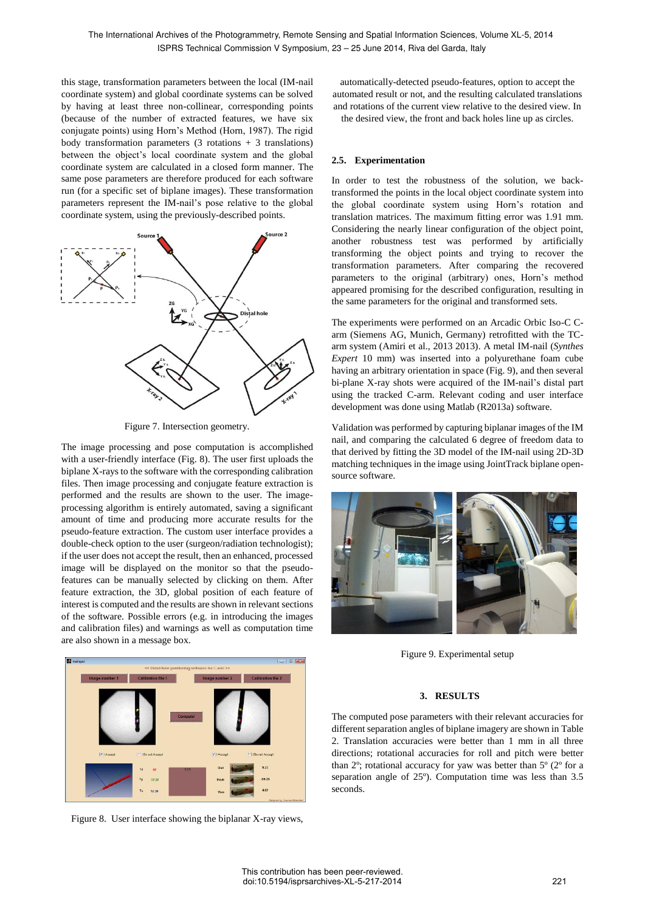this stage, transformation parameters between the local (IM-nail coordinate system) and global coordinate systems can be solved by having at least three non-collinear, corresponding points (because of the number of extracted features, we have six conjugate points) using Horn's Method (Horn, 1987). The rigid body transformation parameters  $(3 \text{ rotations } + 3 \text{ translations})$ between the object's local coordinate system and the global coordinate system are calculated in a closed form manner. The same pose parameters are therefore produced for each software run (for a specific set of biplane images). These transformation parameters represent the IM-nail's pose relative to the global coordinate system, using the previously-described points.



Figure 7. Intersection geometry.

The image processing and pose computation is accomplished with a user-friendly interface (Fig. 8). The user first uploads the biplane X-rays to the software with the corresponding calibration files. Then image processing and conjugate feature extraction is performed and the results are shown to the user. The imageprocessing algorithm is entirely automated, saving a significant amount of time and producing more accurate results for the pseudo-feature extraction. The custom user interface provides a double-check option to the user (surgeon/radiation technologist); if the user does not accept the result, then an enhanced, processed image will be displayed on the monitor so that the pseudofeatures can be manually selected by clicking on them. After feature extraction, the 3D, global position of each feature of interest is computed and the results are shown in relevant sections of the software. Possible errors (e.g. in introducing the images and calibration files) and warnings as well as computation time are also shown in a message box.



the desired view, the front and back holes line up as circles.

# **2.5. Experimentation**

In order to test the robustness of the solution, we backtransformed the points in the local object coordinate system into the global coordinate system using Horn's rotation and translation matrices. The maximum fitting error was 1.91 mm. Considering the nearly linear configuration of the object point, another robustness test was performed by artificially transforming the object points and trying to recover the transformation parameters. After comparing the recovered parameters to the original (arbitrary) ones, Horn's method appeared promising for the described configuration, resulting in the same parameters for the original and transformed sets.

The experiments were performed on an Arcadic Orbic Iso-C Carm (Siemens AG, Munich, Germany) retrofitted with the TCarm system (Amiri et al., 2013 2013). A metal IM-nail (*Synthes Expert* 10 mm) was inserted into a polyurethane foam cube having an arbitrary orientation in space (Fig. 9), and then several bi-plane X-ray shots were acquired of the IM-nail's distal part using the tracked C-arm. Relevant coding and user interface development was done using Matlab (R2013a) software.

Validation was performed by capturing biplanar images of the IM nail, and comparing the calculated 6 degree of freedom data to that derived by fitting the 3D model of the IM-nail using 2D-3D matching techniques in the image using JointTrack biplane opensource software.



Figure 9. Experimental setup



Figure 8. User interface showing the biplanar X-ray views,

### **3. RESULTS**

The computed pose parameters with their relevant accuracies for different separation angles of biplane imagery are shown in Table 2. Translation accuracies were better than 1 mm in all three directions; rotational accuracies for roll and pitch were better than  $2^\circ$ ; rotational accuracy for yaw was better than  $5^\circ$  ( $2^\circ$  for a separation angle of 25º). Computation time was less than 3.5 seconds.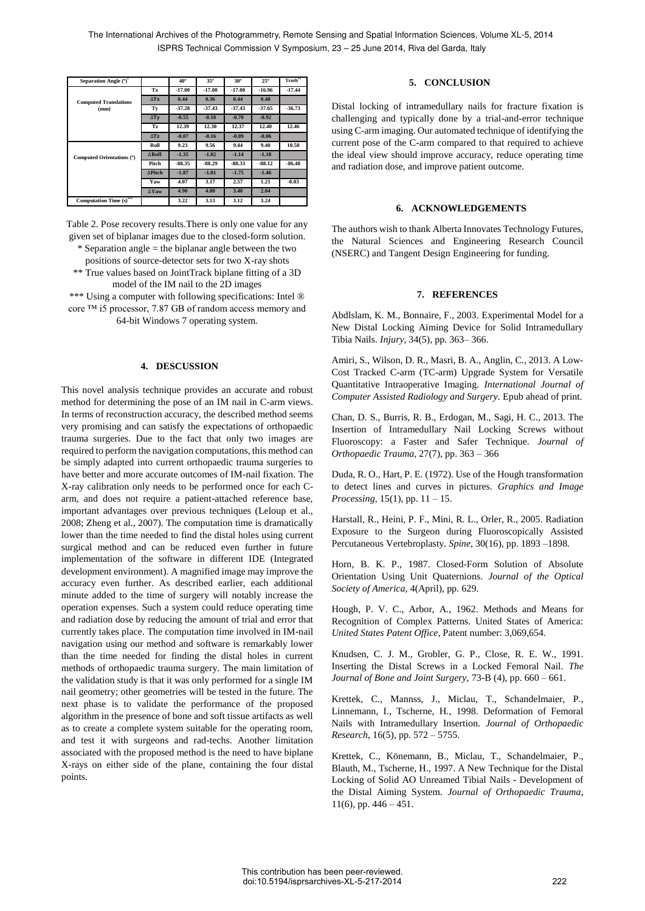| Separation Angle (°)         |                     | 40°      | 35°      | $30^\circ$ | $25^{\circ}$ | Truth**  |
|------------------------------|---------------------|----------|----------|------------|--------------|----------|
|                              | Tx                  | $-17.00$ | $-17.08$ | $-17.00$   | $-16.96$     | $-17.44$ |
| <b>Computed Translations</b> | $\Delta$ Tx         | 0.44     | 0.36     | 0.44       | 0.48         |          |
| (mm)                         | Ty                  | $-37.28$ | $-37.43$ | $-37.43$   | $-37.65$     | $-36.73$ |
|                              | $\Delta T$ y        | $-0.55$  | $-0.10$  | $-0.70$    | $-0.92$      |          |
|                              | Tz                  | 12.39    | 12.30    | 12.37      | 12.40        | 12.46    |
|                              | $\Delta$ Tz         | $-0.07$  | $-0.16$  | $-0.09$    | $-0.06$      |          |
|                              | Roll                | 9.23     | 9.56     | 9.44       | 9.40         | 10.58    |
| Computed Orientations (°)    | <b>ARoll</b>        | $-1.35$  | $-1.02$  | $-1.14$    | $-1.18$      |          |
|                              | Pitch               | $-88.35$ | $-88.29$ | $-88.33$   | $-88.12$     | $-86.48$ |
|                              | ∆Pitch              | $-1.87$  | $-1.81$  | $-1.75$    | $-1.46$      |          |
|                              | Yaw                 | 4.07     | 3.17     | 2.57       | 1.21         | $-0.83$  |
|                              | $\Delta$ <b>Yaw</b> | 4.90     | 4.00     | 3.40       | 2.04         |          |
| Computation Time (s)""       |                     | 3.22     | 3.13     | 3.12       | 3.24         |          |

Table 2. Pose recovery results.There is only one value for any given set of biplanar images due to the closed-form solution. \* Separation angle = the biplanar angle between the two positions of source-detector sets for two X-ray shots \*\* True values based on JointTrack biplane fitting of a 3D

model of the IM nail to the 2D images \*\*\* Using a computer with following specifications: Intel ® core ™ i5 processor, 7.87 GB of random access memory and 64-bit Windows 7 operating system.

#### **4. DESCUSSION**

This novel analysis technique provides an accurate and robust method for determining the pose of an IM nail in C-arm views. In terms of reconstruction accuracy, the described method seems very promising and can satisfy the expectations of orthopaedic trauma surgeries. Due to the fact that only two images are required to perform the navigation computations, this method can be simply adapted into current orthopaedic trauma surgeries to have better and more accurate outcomes of IM-nail fixation. The X-ray calibration only needs to be performed once for each Carm, and does not require a patient-attached reference base, important advantages over previous techniques (Leloup et al., 2008; Zheng et al., 2007). The computation time is dramatically lower than the time needed to find the distal holes using current surgical method and can be reduced even further in future implementation of the software in different IDE (Integrated development environment). A magnified image may improve the accuracy even further. As described earlier, each additional minute added to the time of surgery will notably increase the operation expenses. Such a system could reduce operating time and radiation dose by reducing the amount of trial and error that currently takes place. The computation time involved in IM-nail navigation using our method and software is remarkably lower than the time needed for finding the distal holes in current methods of orthopaedic trauma surgery. The main limitation of the validation study is that it was only performed for a single IM nail geometry; other geometries will be tested in the future. The next phase is to validate the performance of the proposed algorithm in the presence of bone and soft tissue artifacts as well as to create a complete system suitable for the operating room, and test it with surgeons and rad-techs. Another limitation associated with the proposed method is the need to have biplane X-rays on either side of the plane, containing the four distal points.

# **5. CONCLUSION**

Distal locking of intramedullary nails for fracture fixation is challenging and typically done by a trial-and-error technique using C-arm imaging. Our automated technique of identifying the current pose of the C-arm compared to that required to achieve the ideal view should improve accuracy, reduce operating time and radiation dose, and improve patient outcome.

## **6. ACKNOWLEDGEMENTS**

The authors wish to thank Alberta Innovates Technology Futures, the Natural Sciences and Engineering Research Council (NSERC) and Tangent Design Engineering for funding.

### **7. REFERENCES**

Abdlslam, K. M., Bonnaire, F., 2003. Experimental Model for a New Distal Locking Aiming Device for Solid Intramedullary Tibia Nails. *Injury*, 34(5), pp. 363– 366.

Amiri, S., Wilson, D. R., Masri, B. A., Anglin, C., 2013. A Low-Cost Tracked C-arm (TC-arm) Upgrade System for Versatile Quantitative Intraoperative Imaging. *International Journal of Computer Assisted Radiology and Surgery*. Epub ahead of print.

Chan, D. S., Burris, R. B., Erdogan, M., Sagi, H. C., 2013. The Insertion of Intramedullary Nail Locking Screws without Fluoroscopy: a Faster and Safer Technique. *Journal of Orthopaedic Trauma*, 27(7), pp. 363 – 366

Duda, R. O., Hart, P. E. (1972). Use of the Hough transformation to detect lines and curves in pictures. *Graphics and Image Processing,* 15(1), pp. 11 – 15.

Harstall, R., Heini, P. F., Mini, R. L., Orler, R., 2005. Radiation Exposure to the Surgeon during Fluoroscopically Assisted Percutaneous Vertebroplasty. *Spine*, 30(16), pp. 1893 –1898.

Horn, B. K. P., 1987. Closed-Form Solution of Absolute Orientation Using Unit Quaternions. *Journal of the Optical Society of America*, 4(April), pp. 629.

Hough, P. V. C., Arbor, A., 1962. Methods and Means for Recognition of Complex Patterns. United States of America: *United States Patent Office*, Patent number: 3,069,654.

Knudsen, C. J. M., Grobler, G. P., Close, R. E. W., 1991. Inserting the Distal Screws in a Locked Femoral Nail. *The Journal of Bone and Joint Surgery*, 73-B (4), pp. 660 – 661.

Krettek, C., Mannss, J., Miclau, T., Schandelmaier, P., Linnemann, I., Tscherne, H., 1998. Deformation of Femoral Nails with Intramedullary Insertion. *Journal of Orthopaedic Research*, 16(5), pp. 572 – 5755.

Krettek, C., Könemann, B., Miclau, T., Schandelmaier, P., Blauth, M., Tscherne, H., 1997. A New Technique for the Distal Locking of Solid AO Unreamed Tibial Nails - Development of the Distal Aiming System. *Journal of Orthopaedic Trauma*, 11(6), pp. 446 – 451.